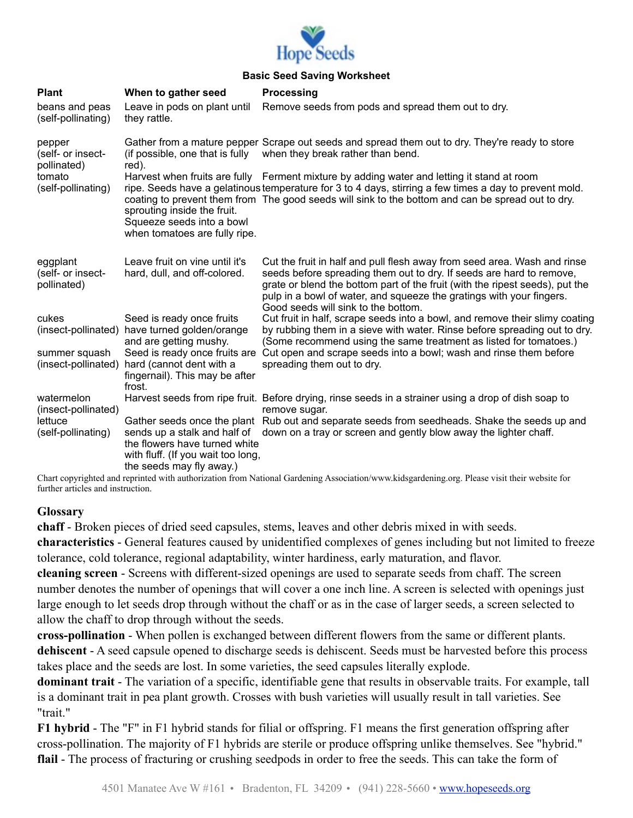

## **Basic Seed Saving Worksheet**

| <b>Plant</b><br>beans and peas<br>(self-pollinating)                       | When to gather seed<br>Leave in pods on plant until<br>they rattle.                                   | <b>Processing</b><br>Remove seeds from pods and spread them out to dry.                                                                                                                                                                                                                                                                         |
|----------------------------------------------------------------------------|-------------------------------------------------------------------------------------------------------|-------------------------------------------------------------------------------------------------------------------------------------------------------------------------------------------------------------------------------------------------------------------------------------------------------------------------------------------------|
| pepper<br>(self- or insect-<br>pollinated)<br>tomato<br>(self-pollinating) | (if possible, one that is fully<br>red).                                                              | Gather from a mature pepper Scrape out seeds and spread them out to dry. They're ready to store<br>when they break rather than bend.                                                                                                                                                                                                            |
|                                                                            | sprouting inside the fruit.<br>Squeeze seeds into a bowl<br>when tomatoes are fully ripe.             | Harvest when fruits are fully Ferment mixture by adding water and letting it stand at room<br>ripe. Seeds have a gelatinous temperature for 3 to 4 days, stirring a few times a day to prevent mold.<br>coating to prevent them from The good seeds will sink to the bottom and can be spread out to dry.                                       |
| eggplant<br>(self- or insect-<br>pollinated)                               | Leave fruit on vine until it's<br>hard, dull, and off-colored.                                        | Cut the fruit in half and pull flesh away from seed area. Wash and rinse<br>seeds before spreading them out to dry. If seeds are hard to remove,<br>grate or blend the bottom part of the fruit (with the ripest seeds), put the<br>pulp in a bowl of water, and squeeze the gratings with your fingers.<br>Good seeds will sink to the bottom. |
| cukes<br>(insect-pollinated)                                               | Seed is ready once fruits<br>have turned golden/orange<br>and are getting mushy.                      | Cut fruit in half, scrape seeds into a bowl, and remove their slimy coating<br>by rubbing them in a sieve with water. Rinse before spreading out to dry.<br>(Some recommend using the same treatment as listed for tomatoes.)                                                                                                                   |
| summer squash<br>(insect-pollinated)                                       | Seed is ready once fruits are<br>hard (cannot dent with a<br>fingernail). This may be after<br>frost. | Cut open and scrape seeds into a bowl; wash and rinse them before<br>spreading them out to dry.                                                                                                                                                                                                                                                 |
| watermelon<br>(insect-pollinated)                                          |                                                                                                       | Harvest seeds from ripe fruit. Before drying, rinse seeds in a strainer using a drop of dish soap to<br>remove sugar.                                                                                                                                                                                                                           |
| lettuce<br>(self-pollinating)                                              | the flowers have turned white<br>with fluff. (If you wait too long,<br>the seeds may fly away.)       | Gather seeds once the plant Rub out and separate seeds from seedheads. Shake the seeds up and<br>sends up a stalk and half of down on a tray or screen and gently blow away the lighter chaff.                                                                                                                                                  |

Chart copyrighted and reprinted with authorization from National Gardening Association/www.kidsgardening.org. Please visit their website for further articles and instruction.

## **Glossary**

**chaff** - Broken pieces of dried seed capsules, stems, leaves and other debris mixed in with seeds. **characteristics** - General features caused by unidentified complexes of genes including but not limited to freeze tolerance, cold tolerance, regional adaptability, winter hardiness, early maturation, and flavor.

**cleaning screen** - Screens with different-sized openings are used to separate seeds from chaff. The screen number denotes the number of openings that will cover a one inch line. A screen is selected with openings just large enough to let seeds drop through without the chaff or as in the case of larger seeds, a screen selected to allow the chaff to drop through without the seeds.

**cross-pollination** - When pollen is exchanged between different flowers from the same or different plants. **dehiscent** - A seed capsule opened to discharge seeds is dehiscent. Seeds must be harvested before this process takes place and the seeds are lost. In some varieties, the seed capsules literally explode.

**dominant trait** - The variation of a specific, identifiable gene that results in observable traits. For example, tall is a dominant trait in pea plant growth. Crosses with bush varieties will usually result in tall varieties. See "trait."

**F1 hybrid** - The "F" in F1 hybrid stands for filial or offspring. F1 means the first generation offspring after cross-pollination. The majority of F1 hybrids are sterile or produce offspring unlike themselves. See "hybrid." **flail** - The process of fracturing or crushing seedpods in order to free the seeds. This can take the form of